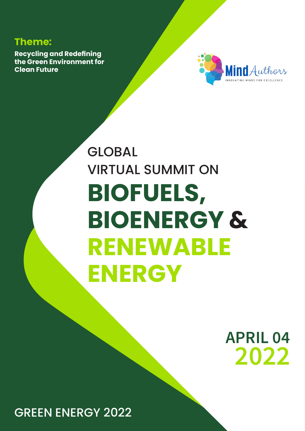# **Theme:**

**Recycling and Redefining the Green Environment for Clean Future**



# GLOBAL VIRTUAL SUMMIT ON **BIOFUELS, BIOENERGY & RENEWABLE ENERGY**

**APRIL 04 2022** 

GREEN ENERGY 2022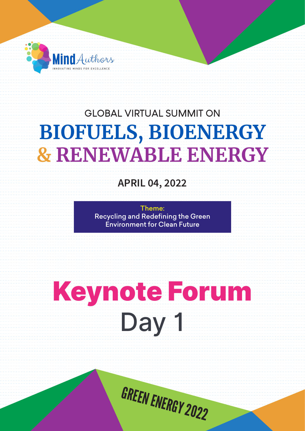

**APRIL 04, 2022**

Theme: Recycling and Redefining the Green Environment for Clean Future

# Day 1 Keynote Forum

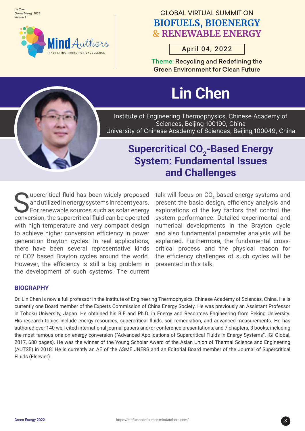Lin Chen Green Energy 2022 Volume 1



# **GLOBAL VIRTUAL SUMMIT ON BIOFUELS, BIOENERGY & RENEWABLE ENERGY**

April 04, 2022

Theme: Recycling and Redefining the Green Environment for Clean Future

# **Lin Chen**

Institute of Engineering Thermophysics, Chinese Academy of Sciences, Beijing 100190, China University of Chinese Academy of Sciences, Beijing 100049, China

# **Supercritical CO<sub>2</sub>-Based Energy System: Fundamental Issues and Challenges**

Supercritical fluid has been widely proposed<br>and utilized in energy systems in recent years.<br>For renewable sources such as solar energy and utilized in energy systems in recent years. For renewable sources such as solar energy conversion, the supercritical fluid can be operated with high temperature and very compact design to achieve higher conversion efficiency in power generation Brayton cycles. In real applications, there have been several representative kinds of CO2 based Brayton cycles around the world. However, the efficiency is still a big problem in the development of such systems. The current

talk will focus on CO $_2$  based energy systems and present the basic design, efficiency analysis and explorations of the key factors that control the system performance. Detailed experimental and numerical developments in the Brayton cycle and also fundamental parameter analysis will be explained. Furthermore, the fundamental crosscritical process and the physical reason for the efficiency challenges of such cycles will be presented in this talk.

#### **BIOGRAPHY**

Dr. Lin Chen is now a full professor in the Institute of Engineering Thermophysics, Chinese Academy of Sciences, China. He is currently one Board member of the Experts Commission of China Energy Society. He was previously an Assistant Professor in Tohoku University, Japan. He obtained his B.E and Ph.D. in Energy and Resources Engineering from Peking University. His research topics include energy resources, supercritical fluids, soil remediation, and advanced measurements. He has authored over 140 well-cited international journal papers and/or conference presentations, and 7 chapters, 3 books, including the most famous one on energy conversion ("Advanced Applications of Supercritical Fluids in Energy Systems", IGI Global, 2017, 680 pages). He was the winner of the Young Scholar Award of the Asian Union of Thermal Science and Engineering (AUTSE) in 2018. He is currently an AE of the ASME JNERS and an Editorial Board member of the Journal of Supercritical Fluids (Elsevier).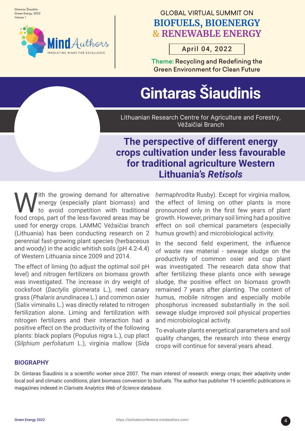Gintaras Šiaudinis Green Energy 2022 Volume 1



# **GLOBAL VIRTUAL SUMMIT ON BIOFUELS, BIOENERGY & RENEWABLE ENERGY**

# April 04, 2022

Theme: Recycling and Redefining the Green Environment for Clean Future

# **Gintaras Šiaudinis**

Lithuanian Research Centre for Agriculture and Forestry, Vėžaičiai Branch

# **The perspective of different energy crops cultivation under less favourable for traditional agriculture Western Lithuania's** *Retisols*

Ith the growing demand for alternative energy (especially plant biomass) and to avoid competition with traditional food crops, part of the less-favored areas may be used for energy crops. LAMMC Vėžaičiai branch (Lithuania) has been conducting research on 2 perennial fast-growing plant species (herbaceous and woody) in the acidic whitish soils (pH 4.2-4.4) of Western Lithuania since 2009 and 2014.

The effect of liming (to adjust the optimal soil pH level) and nitrogen fertilizers on biomass growth was investigated. The increase in dry weight of cocksfoot (*Dactylis glomerata* L.), reed canary grass (*Phalaris arundinacea* L.) and common osier (Salix viminalis L.) was directly related to nitrogen fertilization alone. Liming and fertilization with nitrogen fertilizers and their interaction had a positive effect on the productivity of the following plants: black poplars (Populus nigra L.), cup plact (*Silphium perfoliatum* L.), virginia mallow (*Sida* 

*hermaphrodita* Rusby). Except for virginia mallow, the effect of liming on other plants is more pronounced only in the first few years of plant growth. However, primary soil liming had a positive effect on soil chemical parameters (especially humus growth) and microbiological activity.

In the second field experiment, the influence of waste raw material - sewage sludge on the productivity of common osier and cup plant was investigated. The research data show that after fertilizing these plants once with sewage sludge, the positive effect on biomass growth remained 7 years after planting. The content of humus, mobile nitrogen and especially mobile phosphorus increased substantially in the soil. sewage sludge improved soil physical properties and microbiological activity.

To evaluate plants energetical parameters and soil quality changes, the research into these energy crops will continue for several years ahead.

#### **BIOGRAPHY**

Dr. Gintaras Šiaudinis is a scientific worker since 2007. The main interest of research: energy crops; their adaptivity under local soil and climatic conditions; plant biomass conversion to biofuels. The author has publisher 19 scientific publications in magazines indexed in *Clarivate Analytics Web of Science database.*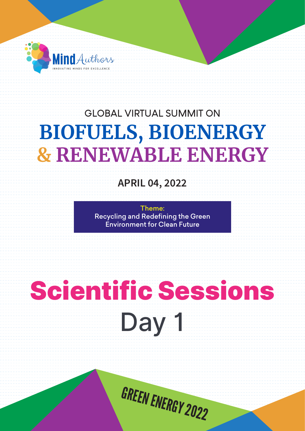

**APRIL 04, 2022**

Theme: Recycling and Redefining the Green Environment for Clean Future

# Scientific Sessions

Day 1

GREEN ENERGY 2022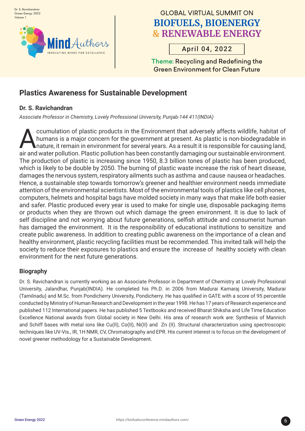

April 04, 2022

Theme: Recycling and Redefining the Green Environment for Clean Future

# **Plastics Awareness for Sustainable Development**

#### **Dr. S. Ravichandran**

*Associate Professor in Chemistry, Lovely Professional University, Punjab-144 411(INDIA)*

cumulation of plastic products in the Environment that adversely affects wildlife, habitat of<br>humans is a major concern for the government at present. As plastic is non-biodegradable in<br>nature, it remain in environment for humans is a major concern for the government at present. As plastic is non-biodegradable in nature, it remain in environment for several years. As a result it is responsible for causing land, air and water pollution. Plastic pollution has been constantly damaging our sustainable environment. The production of plastic is increasing since 1950, 8.3 billion tones of plastic has been produced, which is likely to be double by 2050. The burning of plastic waste increase the risk of heart disease, damages the nervous system, respiratory ailments such as asthma and cause nausea or headaches. Hence, a sustainable step towards tomorrow's greener and healthier environment needs immediate attention of the environmental scientists. Most of the environmental tools of plastics like cell phones, computers, helmets and hospital bags have molded society in many ways that make life both easier and safer. Plastic produced every year is used to make for single use, disposable packaging items or products when they are thrown out which damage the green environment. It is due to lack of self discipline and not worrying about future generations, selfish attitude and consumerist human has damaged the environment. It is the responsibility of educational institutions to sensitize and create public awareness. In addition to creating public awareness on the importance of a clean and healthy environment, plastic recycling facilities must be recommended. This invited talk will help the society to reduce their exposures to plastics and ensure the increase of healthy society with clean environment for the next future generations.

#### **Biography**

Dr. S. Ravichandran is currently working as an Associate Professor in Department of Chemistry at Lovely Professional University, Jalandhar, Punjab(INDIA). He completed his Ph.D. in 2006 from Madurai Kamaraj University, Madurai (Tamilnadu) and M.Sc. from Pondicherry University, Pondicherry. He has qualified in GATE with a score of 95 percentile conducted by Ministry of Human Research and Development in the year 1998. He has 17 years of Research experience and published 112 International papers. He has published 5 Textbooks and received Bharat Shiksha and Life Time Education Excellence National awards from Global society in New Delhi. His area of research work are: Synthesis of Mannich and Schiff bases with metal ions like Cu(II), Co(II), Ni(II) and Zn (II). Structural characterization using spectroscopic techniques like UV-Vis., IR, 1H NMR, CV, Chromatography and EPR. His current interest is to focus on the development of novel greener methodology for a Sustainable Development.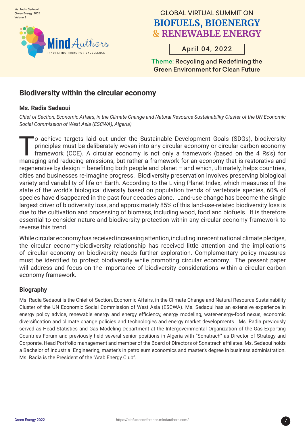

# April 04, 2022

Theme: Recycling and Redefining the Green Environment for Clean Future

## **Biodiversity within the circular economy**

#### **Ms. Radia Sedaoui**

*Chief of Section, Economic Affairs, in the Climate Change and Natural Resource Sustainability Cluster of the UN Economic Social Commission of West Asia (ESCWA), Algeria)*

To achieve targets laid out under the Sustainable Development Goals (SDGs), biodiversity<br>principles must be deliberately woven into any circular economy or circular carbon economy<br>framework (CCE). A circular economy is not principles must be deliberately woven into any circular economy or circular carbon economy framework (CCE). A circular economy is not only a framework (based on the 4 Rs's) for managing and reducing emissions, but rather a framework for an economy that is restorative and regenerative by design – benefiting both people and planet – and which, ultimately, helps countries, cities and businesses re-imagine progress. Biodiversity preservation involves preserving biological variety and variability of life on Earth. According to the Living Planet Index, which measures of the state of the world's biological diversity based on population trends of vertebrate species, 60% of species have disappeared in the past four decades alone. Land-use change has become the single largest driver of biodiversity loss, and approximately 85% of this land-use-related biodiversity loss is due to the cultivation and processing of biomass, including wood, food and biofuels. It is therefore essential to consider nature and biodiversity protection within any circular economy framework to reverse this trend.

While circular economy has received increasing attention, including in recent national climate pledges, the circular economy-biodiversity relationship has received little attention and the implications of circular economy on biodiversity needs further exploration. Complementary policy measures must be identified to protect biodiversity while promoting circular economy. The present paper will address and focus on the importance of biodiversity considerations within a circular carbon economy framework.

#### **Biography**

Ms. Radia Sedaoui is the Chief of Section, Economic Affairs, in the Climate Change and Natural Resource Sustainability Cluster of the UN Economic Social Commission of West Asia (ESCWA). Ms. Sedaoui has an extensive experience in energy policy advice, renewable energy and energy efficiency, energy modeling, water-energy-food nexus, economic diversification and climate change policies and technologies and energy market developments. Ms. Radia previously served as Head Statistics and Gas Modeling Department at the Intergovernmental Organization of the Gas Exporting Countries Forum and previously held several senior positions in Algeria with "Sonatrach" as Director of Strategy and Corporate, Head Portfolio management and member of the Board of Directors of Sonatrach affiliates. Ms. Sedaoui holds a Bachelor of Industrial Engineering, master's in petroleum economics and master's degree in business administration. Ms. Radia is the President of the "Arab Energy Club".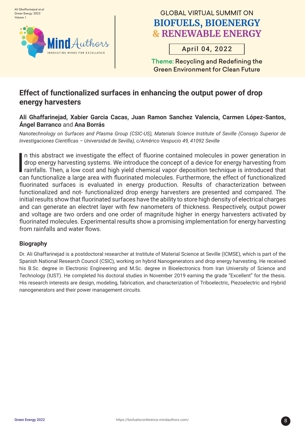

# April 04, 2022

Theme: Recycling and Redefining the Green Environment for Clean Future

# **Effect of functionalized surfaces in enhancing the output power of drop energy harvesters**

#### **Ali Ghaffarinejad, Xabier Garcia Cacas, Juan Ramon Sanchez Valencia, Carmen López-Santos, Ángel Barranco** and **Ana Borrás**

*Nanotechnology on Surfaces and Plasma Group (CSIC-US), Materials Science Institute of Seville (Consejo Superior de Investigaciones Científicas – Universidad de Sevilla), c/Américo Vespucio 49, 41092 Seville*

|<br>|<br>| n this abstract we investigate the effect of fluorine contained molecules in power generation in drop energy harvesting systems. We introduce the concept of a device for energy harvesting from rainfalls. Then, a low cost and high yield chemical vapor deposition technique is introduced that can functionalize a large area with fluorinated molecules. Furthermore, the effect of functionalized fluorinated surfaces is evaluated in energy production. Results of characterization between functionalized and not- functionalized drop energy harvesters are presented and compared. The initial results show that fluorinated surfaces have the ability to store high density of electrical charges and can generate an electret layer with few nanometers of thickness. Respectively, output power and voltage are two orders and one order of magnitude higher in energy harvesters activated by fluorinated molecules. Experimental results show a promising implementation for energy harvesting from rainfalls and water flows.

#### **Biography**

Dr. Ali Ghaffarinejad is a postdoctoral researcher at Institute of Material Science at Seville (ICMSE), which is part of the Spanish National Research Council (CSIC), working on hybrid Nanogenerators and drop energy harvesting. He received his B.Sc. degree in Electronic Engineering and M.Sc. degree in Bioelectronics from Iran University of Science and Technology (IUST). He completed his doctoral studies in November 2019 earning the grade "Excellent" for the thesis. His research interests are design, modeling, fabrication, and characterization of Triboelectric, Piezoelectric and Hybrid nanogenerators and their power management circuits.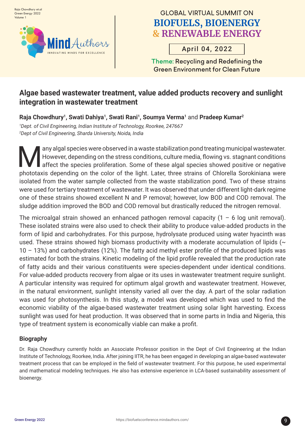

# April 04, 2022

Theme: Recycling and Redefining the Green Environment for Clean Future

## **Algae based wastewater treatment, value added products recovery and sunlight integration in wastewater treatment**

**Raja Chowdhury1, Swati Dahiya1, Swati Rani1, Soumya Verma1** and **Pradeep Kumar2** 

*1 Dept. of Civil Engineering, Indian Institute of Technology, Roorkee, 247667 2 Dept of Civil Engineering, Sharda University, Noida, India*

any algal species were observed in a waste stabilization pond treating municipal wastewater.<br>However, depending on the stress conditions, culture media, flowing vs. stagnant conditions<br>affect the species proliferation. Som However, depending on the stress conditions, culture media, flowing vs. stagnant conditions affect the species proliferation. Some of these algal species showed positive or negative phototaxis depending on the color of the light. Later, three strains of Chlorella Sorokiniana were isolated from the water sample collected from the waste stabilization pond. Two of these strains were used for tertiary treatment of wastewater. It was observed that under different light-dark regime one of these strains showed excellent N and P removal; however, low BOD and COD removal. The sludge addition improved the BOD and COD removal but drastically reduced the nitrogen removal.

The microalgal strain showed an enhanced pathogen removal capacity  $(1 - 6 \log \text{unit removal})$ . These isolated strains were also used to check their ability to produce value-added products in the form of lipid and carbohydrates. For this purpose, hydrolysate produced using water hyacinth was used. These strains showed high biomass productivity with a moderate accumulation of lipids ( $\sim$ 10 – 13%) and carbohydrates (12%). The fatty acid methyl ester profile of the produced lipids was estimated for both the strains. Kinetic modeling of the lipid profile revealed that the production rate of fatty acids and their various constituents were species-dependent under identical conditions. For value-added products recovery from algae or its uses in wastewater treatment require sunlight. A particular intensity was required for optimum algal growth and wastewater treatment. However, in the natural environment, sunlight intensity varied all over the day. A part of the solar radiation was used for photosynthesis. In this study, a model was developed which was used to find the economic viability of the algae-based wastewater treatment using solar light harvesting. Excess sunlight was used for heat production. It was observed that in some parts in India and Nigeria, this type of treatment system is economically viable can make a profit.

#### **Biography**

Dr. Raja Chowdhury currently holds an Associate Professor position in the Dept of Civil Engineering at the Indian Institute of Technology, Roorkee, India. After joining IITR, he has been engaged in developing an algae-based wastewater treatment process that can be employed in the field of wastewater treatment. For this purpose, he used experimental and mathematical modeling techniques. He also has extensive experience in LCA-based sustainability assessment of bioenergy.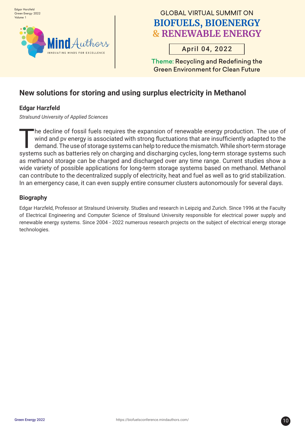

# April 04, 2022

Theme: Recycling and Redefining the Green Environment for Clean Future

# **New solutions for storing and using surplus electricity in Methanol**

#### **Edgar Harzfeld**

*Stralsund University of Applied Sciences*

The decline of fossil fuels requires the expansion of renewable energy production. The use of<br>wind and pv energy is associated with strong fluctuations that are insufficiently adapted to the<br>demand. The use of storage syst wind and pv energy is associated with strong fluctuations that are insufficiently adapted to the demand. The use of storage systems can help to reduce the mismatch. While short-term storage systems such as batteries rely on charging and discharging cycles, long-term storage systems such as methanol storage can be charged and discharged over any time range. Current studies show a wide variety of possible applications for long-term storage systems based on methanol. Methanol can contribute to the decentralized supply of electricity, heat and fuel as well as to grid stabilization. In an emergency case, it can even supply entire consumer clusters autonomously for several days.

#### **Biography**

Edgar Harzfeld, Professor at Stralsund University. Studies and research in Leipzig and Zurich. Since 1996 at the Faculty of Electrical Engineering and Computer Science of Stralsund University responsible for electrical power supply and renewable energy systems. Since 2004 - 2022 numerous research projects on the subject of electrical energy storage technologies.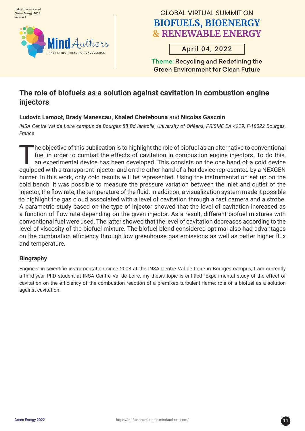

# April 04, 2022

Theme: Recycling and Redefining the Green Environment for Clean Future

# **The role of biofuels as a solution against cavitation in combustion engine injectors**

#### **Ludovic Lamoot, Brady Manescau, Khaled Chetehouna** and **Nicolas Gascoin**

*INSA Centre Val de Loire campus de Bourges 88 Bd lahitolle, University of Orléans, PRISME EA 4229, F-18022 Bourges, France*

The objective of this publication is to highlight the role of biofuel as an alternative to conventional<br>fuel in order to combat the effects of cavitation in combustion engine injectors. To do this,<br>an experimental device h fuel in order to combat the effects of cavitation in combustion engine injectors. To do this, an experimental device has been developed. This consists on the one hand of a cold device equipped with a transparent injector and on the other hand of a hot device represented by a NEXGEN burner. In this work, only cold results will be represented. Using the instrumentation set up on the cold bench, it was possible to measure the pressure variation between the inlet and outlet of the injector, the flow rate, the temperature of the fluid. In addition, a visualization system made it possible to highlight the gas cloud associated with a level of cavitation through a fast camera and a strobe. A parametric study based on the type of injector showed that the level of cavitation increased as a function of flow rate depending on the given injector. As a result, different biofuel mixtures with conventional fuel were used. The latter showed that the level of cavitation decreases according to the level of viscosity of the biofuel mixture. The biofuel blend considered optimal also had advantages on the combustion efficiency through low greenhouse gas emissions as well as better higher flux and temperature.

#### **Biography**

Engineer in scientific instrumentation since 2003 at the INSA Centre Val de Loire in Bourges campus, I am currently a third-year PhD student at INSA Centre Val de Loire, my thesis topic is entitled "Experimental study of the effect of cavitation on the efficiency of the combustion reaction of a premixed turbulent flame: role of a biofuel as a solution against cavitation.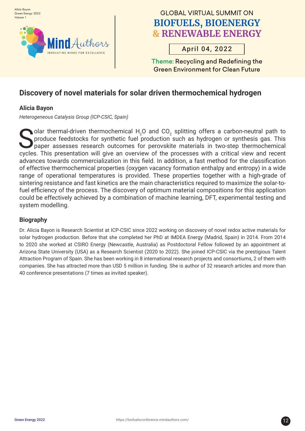

# April 04, 2022

Theme: Recycling and Redefining the Green Environment for Clean Future

# **Discovery of novel materials for solar driven thermochemical hydrogen**

#### **Alicia Bayon**

*Heterogeneous Catalysis Group (ICP-CSIC, Spain)* 

Solar thermal-driven thermochemical  $H_2$ <br>produce feedstocks for synthetic fuel paper assesses research outcomes for<br>evolve. This prosentation will give an evolvia O and  $CO_2$  splitting offers a carbon-neutral path to produce feedstocks for synthetic fuel production such as hydrogen or synthesis gas. This paper assesses research outcomes for perovskite materials in two-step thermochemical cycles. This presentation will give an overview of the processes with a critical view and recent advances towards commercialization in this field. In addition, a fast method for the classification of effective thermochemical properties (oxygen vacancy formation enthalpy and entropy) in a wide range of operational temperatures is provided. These properties together with a high-grade of sintering resistance and fast kinetics are the main characteristics required to maximize the solar-tofuel efficiency of the process. The discovery of optimum material compositions for this application could be effectively achieved by a combination of machine learning, DFT, experimental testing and system modelling.

#### **Biography**

Dr. Alicia Bayon is Research Scientist at ICP-CSIC since 2022 working on discovery of novel redox active materials for solar hydrogen production. Before that she completed her PhD at IMDEA Energy (Madrid, Spain) in 2014. From 2014 to 2020 she worked at CSIRO Energy (Newcastle, Australia) as Postdoctoral Fellow followed by an appointment at Arizona State University (USA) as a Research Scientist (2020 to 2022). She joined ICP-CSIC via the prestigious Talent Attraction Program of Spain. She has been working in 8 international research projects and consortiums, 2 of them with companies. She has attracted more than USD 5 million in funding. She is author of 32 research articles and more than 40 conference presentations (7 times as invited speaker).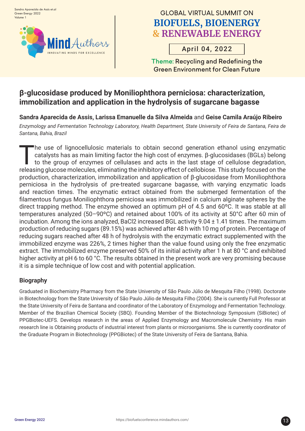

# April 04, 2022

Theme: Recycling and Redefining the Green Environment for Clean Future

### **β-glucosidase produced by Moniliophthora perniciosa: characterization, immobilization and application in the hydrolysis of sugarcane bagasse**

**Sandra Aparecida de Assis, Larissa Emanuelle da Silva Almeida** and **Geise Camila Araújo Ribeiro**

*Enzymology and Fermentation Technology Laboratory, Health Department, State University of Feira de Santana, Feira de Santana, Bahia, Brazil*

The use of lignocellulosic materials to obtain second generation ethanol using enzymatic<br>catalysts has as main limiting factor the high cost of enzymes.  $\beta$ -glucosidases (BGLs) belong<br>to the group of enzymes of cellulases catalysts has as main limiting factor the high cost of enzymes. β-glucosidases (BGLs) belong to the group of enzymes of cellulases and acts in the last stage of cellulose degradation, releasing glucose molecules, eliminating the inhibitory effect of cellobiose. This study focused on the production, characterization, immobilization and application of β-glucosidase from Moniliophthora perniciosa in the hydrolysis of pre-treated sugarcane bagasse, with varying enzymatic loads and reaction times. The enzymatic extract obtained from the submerged fermentation of the filamentous fungus Moniliophthora perniciosa was immobilized in calcium alginate spheres by the direct trapping method. The enzyme showed an optimum pH of 4.5 and 60ºC. It was stable at all temperatures analyzed (50–90ºC) and retained about 100% of its activity at 50°C after 60 min of incubation. Among the ions analyzed, BaCl2 increased BGL activity 9.04 ± 1.41 times. The maximum production of reducing sugars (89.15%) was achieved after 48 h with 10 mg of protein. Percentage of reducing sugars reached after 48 h of hydrolysis with the enzymatic extract supplemented with the immobilized enzyme was 226%, 2 times higher than the value found using only the free enzymatic extract. The immobilized enzyme preserved 50% of its initial activity after 1 h at 80 °C and exhibited higher activity at pH 6 to 60 °C. The results obtained in the present work are very promising because it is a simple technique of low cost and with potential application.

#### **Biography**

Graduated in Biochemistry Pharmacy from the State University of São Paulo Júlio de Mesquita Filho (1998). Doctorate in Biotechnology from the State University of São Paulo Júlio de Mesquita Filho (2004). She is currently Full Professor at the State University of Feira de Santana and coordinator of the Laboratory of Enzymology and Fermentation Technology. Member of the Brazilian Chemical Society (SBQ). Founding Member of the Biotechnology Symposium (SiBiotec) of PPGBiotec-UEFS. Develops research in the areas of Applied Enzymology and Macromolecule Chemistry. His main research line is Obtaining products of industrial interest from plants or microorganisms. She is currently coordinator of the Graduate Program in Biotechnology (PPGBiotec) of the State University of Feira de Santana, Bahia.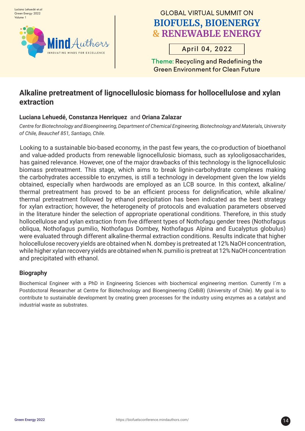

# April 04, 2022

Theme: Recycling and Redefining the Green Environment for Clean Future

### **Alkaline pretreatment of lignocellulosic biomass for hollocellulose and xylan extraction**

#### **Luciana Lehuedé, Constanza Henriquez** and **Oriana Zalazar**

*Centre for Biotechnology and Bioengineering, Department of Chemical Engineering, Biotechnology and Materials, University of Chile, Beauchef 851, Santiago, Chile.* 

Lo<br>an<br>ha Looking to a sustainable bio-based economy, in the past few years, the co-production of bioethanol and value-added products from renewable lignocellulosic biomass, such as xylooligosaccharides, has gained relevance. However, one of the major drawbacks of this technology is the lignocellulosic biomass pretreatment. This stage, which aims to break lignin-carbohydrate complexes making the carbohydrates accessible to enzymes, is still a technology in development given the low yields obtained, especially when hardwoods are employed as an LCB source. In this context, alkaline/ thermal pretreatment has proved to be an efficient process for delignification, while alkaline/ thermal pretreatment followed by ethanol precipitation has been indicated as the best strategy for xylan extraction; however, the heterogeneity of protocols and evaluation parameters observed in the literature hinder the selection of appropriate operational conditions. Therefore, in this study hollocellulose and xylan extraction from five different types of Nothofagu gender trees (Nothofagus obliqua, Nothofagus pumilio, Nothofagus Dombey, Nothofagus Alpina and Eucalyptus globulus) were evaluated through different alkaline-thermal extraction conditions. Results indicate that higher holocellulose recovery yields are obtained when N. dombey is pretreated at 12% NaOH concentration, while higher xylan recovery yields are obtained when N. pumilio is pretreat at 12% NaOH concentration and precipitated with ethanol.

#### **Biography**

Biochemical Engineer with a PhD in Engineering Sciences with biochemical engineering mention. Currently I´m a Postdoctoral Researcher at Centre for Biotechnology and Bioengineering (CeBiB) (University of Chile). My goal is to contribute to sustainable development by creating green processes for the industry using enzymes as a catalyst and industrial waste as substrates.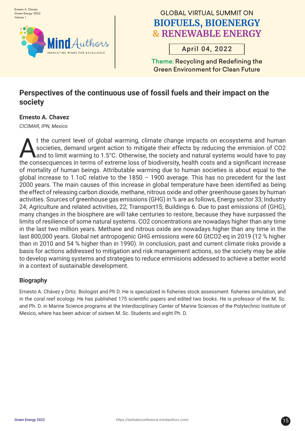

# April 04, 2022

Theme: Recycling and Redefining the Green Environment for Clean Future

# **Perspectives of the continuous use of fossil fuels and their impact on the society**

#### **Ernesto A. Chavez**

*CICIMAR, IPN, Mexico*

t the current level of global warming, climate change impacts on ecosystems and human societies, demand urgent action to mitigate their effects by reducing the emmision of CO2 and to limit warming to 1.5°C. Otherwise, the society and natural systems would have to pay the consecquences in terms of extreme loss of biodiversity, health costs and a significant increase of mortality of human beings. Attributable warming due to human societies is about equal to the global increase to 1.1oC relative to the 1850 – 1900 average. This has no precedent for the last 2000 years. The main causes of this increase in global temperature have been identified as being the effect of releasing carbon dioxide, methane, nitrous oxide and other greenhouse gases by human activities. Sources of greenhouse gas emissions (GHG) in % are as follows, Energy sector 33; Industry 24; Agriculture and related activities, 22; Transport15; Buildings 6. Due to past emissions of (GHG), many changes in the biosphere are will take centuries to restore, because they have surpassed the limits of resilience of some natural systems. CO2 concentrations are nowadays higher than any time in the last two million years. Methane and nitrous oxide are nowadays higher than any time in the last 800,000 years. Global net antropogenic GHG emissions were 60 GtCO2-eq in 2019 (12 % higher than in 2010 and 54 % higher than in 1990). In conclusion, past and current climate risks provide a basis for actions addressed to mitigation and risk management actions, so the society may be able to develop warning systems and strategies to reduce emmisions addessed to achieve a better world in a context of sustainable development.

#### **Biography**

Ernesto A. Chávez y Ortiz. Biologist and Ph D. He is specialized in fisheries stock assessment. fisheries simulation, and in the coral reef ecology. He has published 175 scientific papers and edited two books. He is professor of the M. Sc. and Ph. D. in Marine Science programs at the Interdisciplinary Center of Marine Sciences of the Polytechnic Institute of Mexico, where has been advicer of sixteen M. Sc. Students and eight Ph. D.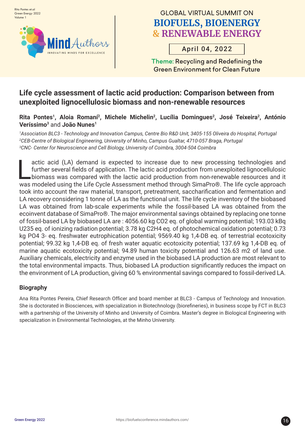

# April 04, 2022

Theme: Recycling and Redefining the Green Environment for Clean Future

### **Life cycle assessment of lactic acid production: Comparison between from unexploited lignocellulosic biomass and non-renewable resources**

#### Rita Pontes<sup>1</sup>, Aloia Romaní<sup>2</sup>, Michele Michelin<sup>2</sup>, Lucília Domingues<sup>2</sup>, José Teixeira<sup>2</sup>, António **Veríssimo3** and **João Nunes1**

*1 Association BLC3 - Technology and Innovation Campus, Centre Bio R&D Unit, 3405-155 Oliveira do Hospital, Portugal 2 CEB-Centre of Biological Engineering, University of Minho, Campus Gualtar, 4710-057 Braga, Portugal 3 CNC- Center for Neuroscience and Cell Biology, University of Coimbra, 3004-504 Coimbra*

actic acid (LA) demand is expected to increase due to new processing technologies and further several fields of application. The lactic acid production from unexploited lignocellulosic biomass was compared with the lactic actic acid (LA) demand is expected to increase due to new processing technologies and further several fields of application. The lactic acid production from unexploited lignocellulosic biomass was compared with the lactic acid production from non-renewable resources and it took into account the raw material, transport, pretreatment, saccharification and fermentation and LA recovery considering 1 tonne of LA as the functional unit. The life cycle inventory of the biobased LA was obtained from lab-scale experiments while the fossil-based LA was obtained from the ecoinvent database of SimaPro®. The major environmental savings obtained by replacing one tonne of fossil-based LA by biobased LA are : 4056.60 kg CO2 eq. of global warming potential; 193.03 kBq U235 eq. of ionizing radiation potential; 3.78 kg C2H4 eq. of photochemical oxidation potential; 0.73 kg PO4 3- eq. freshwater eutrophication potential; 9569.40 kg 1,4-DB eq. of terrestrial ecotoxicity potential; 99.32 kg 1,4-DB eq. of fresh water aquatic ecotoxicity potential; 137.69 kg 1,4-DB eq. of marine aquatic ecotoxicity potential; 94.89 human toxicity potential and 126.63 m2 of land use. Auxiliary chemicals, electricity and enzyme used in the biobased LA production are most relevant to the total environmental impacts. Thus, biobased LA production significantly reduces the impact on the environment of LA production, giving 60 % environmental savings compared to fossil-derived LA.

#### **Biography**

Ana Rita Pontes Pereira, Chief Research Officer and board member at BLC3 - Campus of Technology and Innovation. She is doctorated in Biosciences, with specialization in Biotechnology (biorefineries), in business scope by FCT in BLC3 with a partnership of the University of Minho and University of Coimbra. Master's degree in Biological Engineering with specialization in Environmental Technologies, at the Minho University.